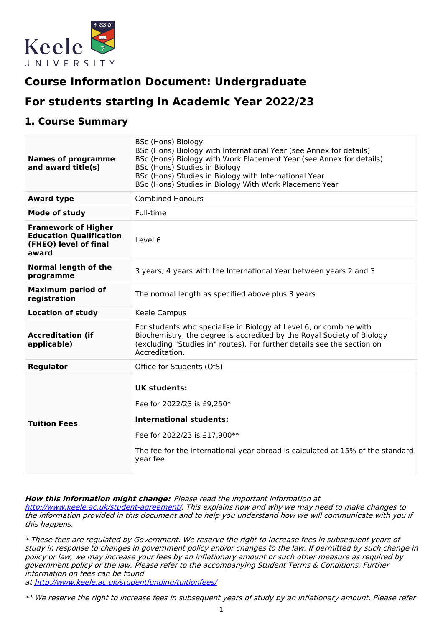

# **Course Information Document: Undergraduate**

# **For students starting in Academic Year 2022/23**

### **1. Course Summary**

| <b>Names of programme</b><br>and award title(s)                                                | <b>BSc (Hons) Biology</b><br>BSc (Hons) Biology with International Year (see Annex for details)<br>BSc (Hons) Biology with Work Placement Year (see Annex for details)<br>BSc (Hons) Studies in Biology<br>BSc (Hons) Studies in Biology with International Year<br>BSc (Hons) Studies in Biology With Work Placement Year |
|------------------------------------------------------------------------------------------------|----------------------------------------------------------------------------------------------------------------------------------------------------------------------------------------------------------------------------------------------------------------------------------------------------------------------------|
| <b>Award type</b>                                                                              | <b>Combined Honours</b>                                                                                                                                                                                                                                                                                                    |
| Mode of study                                                                                  | Full-time                                                                                                                                                                                                                                                                                                                  |
| <b>Framework of Higher</b><br><b>Education Qualification</b><br>(FHEQ) level of final<br>award | Level 6                                                                                                                                                                                                                                                                                                                    |
| <b>Normal length of the</b><br>programme                                                       | 3 years; 4 years with the International Year between years 2 and 3                                                                                                                                                                                                                                                         |
| <b>Maximum period of</b><br>registration                                                       | The normal length as specified above plus 3 years                                                                                                                                                                                                                                                                          |
| <b>Location of study</b>                                                                       | Keele Campus                                                                                                                                                                                                                                                                                                               |
| <b>Accreditation (if</b><br>applicable)                                                        | For students who specialise in Biology at Level 6, or combine with<br>Biochemistry, the degree is accredited by the Royal Society of Biology<br>(excluding "Studies in" routes). For further details see the section on<br>Accreditation.                                                                                  |
| <b>Regulator</b>                                                                               | Office for Students (OfS)                                                                                                                                                                                                                                                                                                  |
| <b>Tuition Fees</b>                                                                            | <b>UK students:</b><br>Fee for 2022/23 is £9,250*<br><b>International students:</b><br>Fee for 2022/23 is £17,900**<br>The fee for the international year abroad is calculated at 15% of the standard<br>year fee                                                                                                          |

**How this information might change:** Please read the important information at

<http://www.keele.ac.uk/student-agreement/>. This explains how and why we may need to make changes to the information provided in this document and to help you understand how we will communicate with you if this happens.

\* These fees are regulated by Government. We reserve the right to increase fees in subsequent years of study in response to changes in government policy and/or changes to the law. If permitted by such change in policy or law, we may increase your fees by an inflationary amount or such other measure as required by government policy or the law. Please refer to the accompanying Student Terms & Conditions. Further information on fees can be found

at <http://www.keele.ac.uk/studentfunding/tuitionfees/>

\*\* We reserve the right to increase fees in subsequent years of study by an inflationary amount. Please refer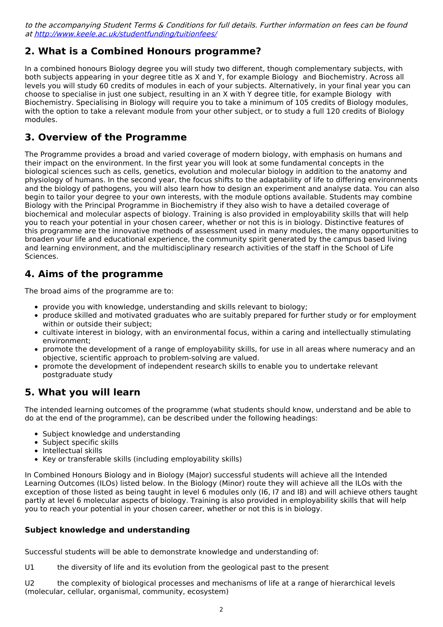to the accompanying Student Terms & Conditions for full details. Further information on fees can be found at <http://www.keele.ac.uk/studentfunding/tuitionfees/>

# **2. What is a Combined Honours programme?**

In a combined honours Biology degree you will study two different, though complementary subjects, with both subjects appearing in your degree title as X and Y, for example Biology and Biochemistry. Across all levels you will study 60 credits of modules in each of your subjects. Alternatively, in your final year you can choose to specialise in just one subject, resulting in an X with Y degree title, for example Biology with Biochemistry. Specialising in Biology will require you to take a minimum of 105 credits of Biology modules, with the option to take a relevant module from your other subject, or to study a full 120 credits of Biology modules.

# **3. Overview of the Programme**

The Programme provides a broad and varied coverage of modern biology, with emphasis on humans and their impact on the environment. In the first year you will look at some fundamental concepts in the biological sciences such as cells, genetics, evolution and molecular biology in addition to the anatomy and physiology of humans. In the second year, the focus shifts to the adaptability of life to differing environments and the biology of pathogens, you will also learn how to design an experiment and analyse data. You can also begin to tailor your degree to your own interests, with the module options available. Students may combine Biology with the Principal Programme in Biochemistry if they also wish to have a detailed coverage of biochemical and molecular aspects of biology. Training is also provided in employability skills that will help you to reach your potential in your chosen career, whether or not this is in biology. Distinctive features of this programme are the innovative methods of assessment used in many modules, the many opportunities to broaden your life and educational experience, the community spirit generated by the campus based living and learning environment, and the multidisciplinary research activities of the staff in the School of Life Sciences.

# **4. Aims of the programme**

The broad aims of the programme are to:

- provide you with knowledge, understanding and skills relevant to biology;
- produce skilled and motivated graduates who are suitably prepared for further study or for employment within or outside their subject;
- cultivate interest in biology, with an environmental focus, within a caring and intellectually stimulating environment;
- promote the development of a range of employability skills, for use in all areas where numeracy and an objective, scientific approach to problem-solving are valued.
- promote the development of independent research skills to enable you to undertake relevant postgraduate study

## **5. What you will learn**

The intended learning outcomes of the programme (what students should know, understand and be able to do at the end of the programme), can be described under the following headings:

- Subject knowledge and understanding
- Subject specific skills
- Intellectual skills
- Key or transferable skills (including employability skills)

In Combined Honours Biology and in Biology (Major) successful students will achieve all the Intended Learning Outcomes (ILOs) listed below. In the Biology (Minor) route they will achieve all the ILOs with the exception of those listed as being taught in level 6 modules only (I6, I7 and I8) and will achieve others taught partly at level 6 molecular aspects of biology. Training is also provided in employability skills that will help you to reach your potential in your chosen career, whether or not this is in biology.

#### **Subject knowledge and understanding**

Successful students will be able to demonstrate knowledge and understanding of:

U1 the diversity of life and its evolution from the geological past to the present

U2 the complexity of biological processes and mechanisms of life at a range of hierarchical levels (molecular, cellular, organismal, community, ecosystem)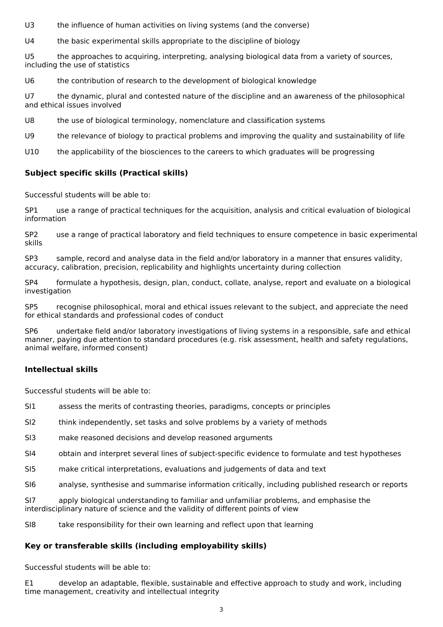U3 the influence of human activities on living systems (and the converse)

U4 the basic experimental skills appropriate to the discipline of biology

U5 the approaches to acquiring, interpreting, analysing biological data from a variety of sources, including the use of statistics

U6 the contribution of research to the development of biological knowledge

U7 the dynamic, plural and contested nature of the discipline and an awareness of the philosophical and ethical issues involved

- U8 the use of biological terminology, nomenclature and classification systems
- U9 the relevance of biology to practical problems and improving the quality and sustainability of life
- U10 the applicability of the biosciences to the careers to which graduates will be progressing

#### **Subject specific skills (Practical skills)**

Successful students will be able to:

SP1 use a range of practical techniques for the acquisition, analysis and critical evaluation of biological information

SP2 use a range of practical laboratory and field techniques to ensure competence in basic experimental skills

SP3 sample, record and analyse data in the field and/or laboratory in a manner that ensures validity, accuracy, calibration, precision, replicability and highlights uncertainty during collection

SP4 formulate a hypothesis, design, plan, conduct, collate, analyse, report and evaluate on a biological investigation

SP5 recognise philosophical, moral and ethical issues relevant to the subject, and appreciate the need for ethical standards and professional codes of conduct

SP6 undertake field and/or laboratory investigations of living systems in a responsible, safe and ethical manner, paying due attention to standard procedures (e.g. risk assessment, health and safety regulations, animal welfare, informed consent)

#### **Intellectual skills**

Successful students will be able to:

- SI1 assess the merits of contrasting theories, paradigms, concepts or principles
- SI2 think independently, set tasks and solve problems by a variety of methods
- SI3 make reasoned decisions and develop reasoned arguments
- SI4 obtain and interpret several lines of subject-specific evidence to formulate and test hypotheses
- SI5 make critical interpretations, evaluations and judgements of data and text
- SI6 analyse, synthesise and summarise information critically, including published research or reports

SI7 apply biological understanding to familiar and unfamiliar problems, and emphasise the interdisciplinary nature of science and the validity of different points of view

SI8 take responsibility for their own learning and reflect upon that learning

#### **Key or transferable skills (including employability skills)**

Successful students will be able to:

E1 develop an adaptable, flexible, sustainable and effective approach to study and work, including time management, creativity and intellectual integrity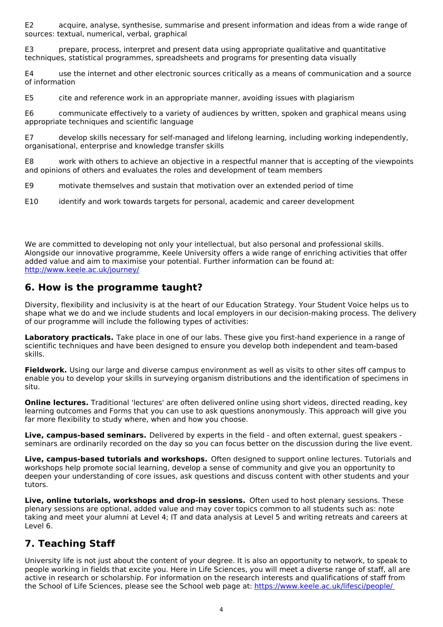E2 acquire, analyse, synthesise, summarise and present information and ideas from a wide range of sources: textual, numerical, verbal, graphical

E3 prepare, process, interpret and present data using appropriate qualitative and quantitative techniques, statistical programmes, spreadsheets and programs for presenting data visually

E4 use the internet and other electronic sources critically as a means of communication and a source of information

E5 cite and reference work in an appropriate manner, avoiding issues with plagiarism

E6 communicate effectively to a variety of audiences by written, spoken and graphical means using appropriate techniques and scientific language

E7 develop skills necessary for self-managed and lifelong learning, including working independently, organisational, enterprise and knowledge transfer skills

E8 work with others to achieve an objective in a respectful manner that is accepting of the viewpoints and opinions of others and evaluates the roles and development of team members

E9 motivate themselves and sustain that motivation over an extended period of time

E10 identify and work towards targets for personal, academic and career development

We are committed to developing not only your intellectual, but also personal and professional skills. Alongside our innovative programme, Keele University offers a wide range of enriching activities that offer added value and aim to maximise your potential. Further information can be found at: <http://www.keele.ac.uk/journey/>

### **6. How is the programme taught?**

Diversity, flexibility and inclusivity is at the heart of our Education Strategy. Your Student Voice helps us to shape what we do and we include students and local employers in our decision-making process. The delivery of our programme will include the following types of activities:

**Laboratory practicals.** Take place in one of our labs. These give you first-hand experience in a range of scientific techniques and have been designed to ensure you develop both independent and team-based skills.

**Fieldwork.** Using our large and diverse campus environment as well as visits to other sites off campus to enable you to develop your skills in surveying organism distributions and the identification of specimens in situ.

**Online lectures.** Traditional 'lectures' are often delivered online using short videos, directed reading, key learning outcomes and Forms that you can use to ask questions anonymously. This approach will give you far more flexibility to study where, when and how you choose.

**Live, campus-based seminars.** Delivered by experts in the field - and often external, guest speakers seminars are ordinarily recorded on the day so you can focus better on the discussion during the live event.

**Live, campus-based tutorials and workshops.** Often designed to support online lectures. Tutorials and workshops help promote social learning, develop a sense of community and give you an opportunity to deepen your understanding of core issues, ask questions and discuss content with other students and your tutors.

**Live, online tutorials, workshops and drop-in sessions.** Often used to host plenary sessions. These plenary sessions are optional, added value and may cover topics common to all students such as: note taking and meet your alumni at Level 4; IT and data analysis at Level 5 and writing retreats and careers at Level 6.

# **7. Teaching Staff**

University life is not just about the content of your degree. It is also an opportunity to network, to speak to people working in fields that excite you. Here in Life Sciences, you will meet a diverse range of staff, all are active in research or scholarship. For information on the research interests and qualifications of staff from the School of Life Sciences, please see the School web page at: [https://www.keele.ac.uk/lifesci/people/](https://www.keele.ac.uk/lifesci/people/%20)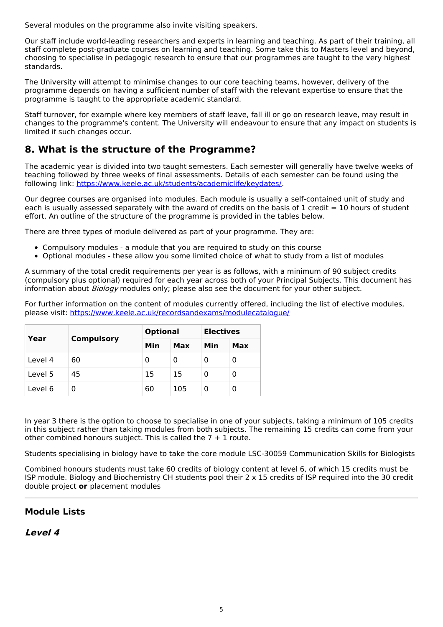Several modules on the programme also invite visiting speakers.

Our staff include world-leading researchers and experts in learning and teaching. As part of their training, all staff complete post-graduate courses on learning and teaching. Some take this to Masters level and beyond, choosing to specialise in pedagogic research to ensure that our programmes are taught to the very highest standards.

The University will attempt to minimise changes to our core teaching teams, however, delivery of the programme depends on having a sufficient number of staff with the relevant expertise to ensure that the programme is taught to the appropriate academic standard.

Staff turnover, for example where key members of staff leave, fall ill or go on research leave, may result in changes to the programme's content. The University will endeavour to ensure that any impact on students is limited if such changes occur.

# **8. What is the structure of the Programme?**

The academic year is divided into two taught semesters. Each semester will generally have twelve weeks of teaching followed by three weeks of final assessments. Details of each semester can be found using the following link: <https://www.keele.ac.uk/students/academiclife/keydates/>.

Our degree courses are organised into modules. Each module is usually a self-contained unit of study and each is usually assessed separately with the award of credits on the basis of 1 credit = 10 hours of student effort. An outline of the structure of the programme is provided in the tables below.

There are three types of module delivered as part of your programme. They are:

- Compulsory modules a module that you are required to study on this course
- Optional modules these allow you some limited choice of what to study from a list of modules

A summary of the total credit requirements per year is as follows, with a minimum of 90 subject credits (compulsory plus optional) required for each year across both of your Principal Subjects. This document has information about *Biology* modules only; please also see the document for your other subject.

For further information on the content of modules currently offered, including the list of elective modules, please visit: <https://www.keele.ac.uk/recordsandexams/modulecatalogue/>

| Year    | <b>Compulsory</b> | <b>Optional</b> |     | <b>Electives</b> |     |
|---------|-------------------|-----------------|-----|------------------|-----|
|         |                   | Min             | Max | Min              | Max |
| Level 4 | 60                | 0               | 0   | 0                | 0   |
| Level 5 | 45                | 15              | 15  | Ω                | 0   |
| Level 6 | 0                 | 60              | 105 | O                | 0   |

In year 3 there is the option to choose to specialise in one of your subjects, taking a minimum of 105 credits in this subject rather than taking modules from both subjects. The remaining 15 credits can come from your other combined honours subject. This is called the  $7 + 1$  route.

Students specialising in biology have to take the core module LSC-30059 Communication Skills for Biologists

Combined honours students must take 60 credits of biology content at level 6, of which 15 credits must be ISP module. Biology and Biochemistry CH students pool their 2 x 15 credits of ISP required into the 30 credit double project **or** placement modules

### **Module Lists**

### **Level 4**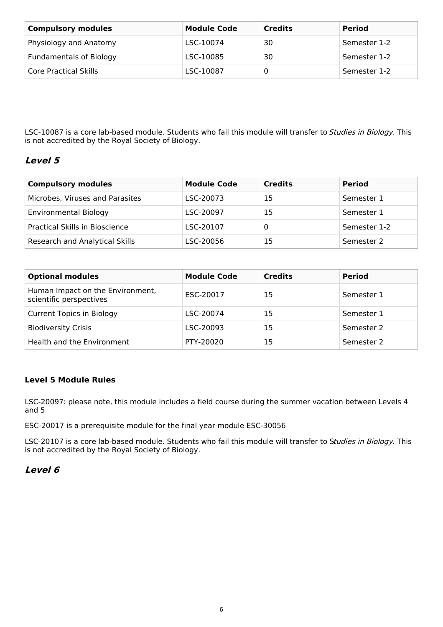| <b>Compulsory modules</b>      | <b>Module Code</b> | <b>Credits</b> | <b>Period</b> |
|--------------------------------|--------------------|----------------|---------------|
| Physiology and Anatomy         | LSC-10074          | 30             | Semester 1-2  |
| <b>Fundamentals of Biology</b> | LSC-10085          | 30             | Semester 1-2  |
| Core Practical Skills          | LSC-10087          |                | Semester 1-2  |

LSC-10087 is a core lab-based module. Students who fail this module will transfer to Studies in Biology. This is not accredited by the Royal Society of Biology.

### **Level 5**

| <b>Compulsory modules</b>       | <b>Module Code</b> | <b>Credits</b> | <b>Period</b> |
|---------------------------------|--------------------|----------------|---------------|
| Microbes, Viruses and Parasites | LSC-20073          | 15             | Semester 1    |
| <b>Environmental Biology</b>    | LSC-20097          | 15             | Semester 1    |
| Practical Skills in Bioscience  | LSC-20107          |                | Semester 1-2  |
| Research and Analytical Skills  | LSC-20056          | 15             | Semester 2    |

| <b>Optional modules</b>                                     | <b>Module Code</b> | <b>Credits</b> | <b>Period</b> |
|-------------------------------------------------------------|--------------------|----------------|---------------|
| Human Impact on the Environment,<br>scientific perspectives | ESC-20017          | 15             | Semester 1    |
| <b>Current Topics in Biology</b>                            | LSC-20074          | 15             | Semester 1    |
| <b>Biodiversity Crisis</b>                                  | LSC-20093          | 15             | Semester 2    |
| Health and the Environment                                  | PTY-20020          | 15             | Semester 2    |

#### **Level 5 Module Rules**

LSC-20097: please note, this module includes a field course during the summer vacation between Levels 4 and 5

ESC-20017 is a prerequisite module for the final year module ESC-30056

LSC-20107 is a core lab-based module. Students who fail this module will transfer to Studies in Biology. This is not accredited by the Royal Society of Biology.

### **Level 6**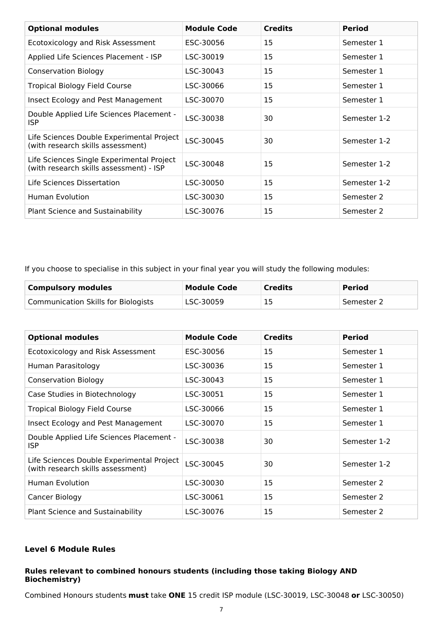| <b>Optional modules</b>                                                              | <b>Module Code</b> | <b>Credits</b> | <b>Period</b> |
|--------------------------------------------------------------------------------------|--------------------|----------------|---------------|
| Ecotoxicology and Risk Assessment                                                    | ESC-30056          | 15             | Semester 1    |
| Applied Life Sciences Placement - ISP                                                | LSC-30019          | 15             | Semester 1    |
| <b>Conservation Biology</b>                                                          | LSC-30043          | 15             | Semester 1    |
| Tropical Biology Field Course                                                        | LSC-30066          | 15             | Semester 1    |
| Insect Ecology and Pest Management                                                   | LSC-30070          | 15             | Semester 1    |
| Double Applied Life Sciences Placement -<br><b>ISP</b>                               | LSC-30038          | 30             | Semester 1-2  |
| Life Sciences Double Experimental Project<br>(with research skills assessment)       | LSC-30045          | 30             | Semester 1-2  |
| Life Sciences Single Experimental Project<br>(with research skills assessment) - ISP | LSC-30048          | 15             | Semester 1-2  |
| Life Sciences Dissertation                                                           | LSC-30050          | 15             | Semester 1-2  |
| Human Evolution                                                                      | LSC-30030          | 15             | Semester 2    |
| <b>Plant Science and Sustainability</b>                                              | LSC-30076          | 15             | Semester 2    |

If you choose to specialise in this subject in your final year you will study the following modules:

| <b>Compulsory modules</b>           | Module Code | <b>Credits</b> | <b>Period</b> |
|-------------------------------------|-------------|----------------|---------------|
| Communication Skills for Biologists | LSC-30059   | 15             | Semester 2    |

| <b>Optional modules</b>                                                        | <b>Module Code</b> | <b>Credits</b> | <b>Period</b> |
|--------------------------------------------------------------------------------|--------------------|----------------|---------------|
| Ecotoxicology and Risk Assessment                                              | ESC-30056          | 15             | Semester 1    |
| Human Parasitology                                                             | LSC-30036          | 15             | Semester 1    |
| <b>Conservation Biology</b>                                                    | LSC-30043          | 15             | Semester 1    |
| Case Studies in Biotechnology                                                  | LSC-30051          | 15             | Semester 1    |
| <b>Tropical Biology Field Course</b>                                           | LSC-30066          | 15             | Semester 1    |
| Insect Ecology and Pest Management                                             | LSC-30070          | 15             | Semester 1    |
| Double Applied Life Sciences Placement -<br>ISP.                               | LSC-30038          | 30             | Semester 1-2  |
| Life Sciences Double Experimental Project<br>(with research skills assessment) | LSC-30045          | 30             | Semester 1-2  |
| Human Evolution                                                                | LSC-30030          | 15             | Semester 2    |
| Cancer Biology                                                                 | LSC-30061          | 15             | Semester 2    |
| Plant Science and Sustainability                                               | LSC-30076          | 15             | Semester 2    |

#### **Level 6 Module Rules**

#### **Rules relevant to combined honours students (including those taking Biology AND Biochemistry)**

Combined Honours students **must** take **ONE** 15 credit ISP module (LSC-30019, LSC-30048 **or** LSC-30050)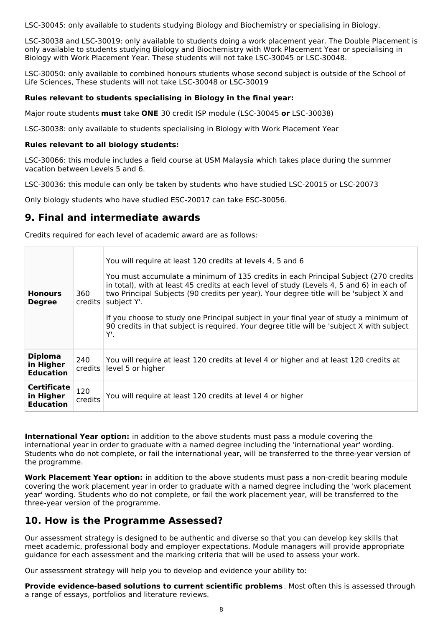LSC-30045: only available to students studying Biology and Biochemistry or specialising in Biology.

LSC-30038 and LSC-30019: only available to students doing a work placement year. The Double Placement is only available to students studying Biology and Biochemistry with Work Placement Year or specialising in Biology with Work Placement Year. These students will not take LSC-30045 or LSC-30048.

LSC-30050: only available to combined honours students whose second subject is outside of the School of Life Sciences, These students will not take LSC-30048 or LSC-30019

#### **Rules relevant to students specialising in Biology in the final year:**

Major route students **must** take **ONE** 30 credit ISP module (LSC-30045 **or** LSC-30038)

LSC-30038: only available to students specialising in Biology with Work Placement Year

#### **Rules relevant to all biology students:**

LSC-30066: this module includes a field course at USM Malaysia which takes place during the summer vacation between Levels 5 and 6.

LSC-30036: this module can only be taken by students who have studied LSC-20015 or LSC-20073

Only biology students who have studied ESC-20017 can take ESC-30056.

### **9. Final and intermediate awards**

Credits required for each level of academic award are as follows:

| <b>Honours</b><br><b>Degree</b>                     | 360<br>credits | You will require at least 120 credits at levels 4, 5 and 6<br>You must accumulate a minimum of 135 credits in each Principal Subject (270 credits<br>in total), with at least 45 credits at each level of study (Levels 4, 5 and 6) in each of<br>two Principal Subjects (90 credits per year). Your degree title will be 'subject X and<br>subject Y'.<br>If you choose to study one Principal subject in your final year of study a minimum of<br>90 credits in that subject is required. Your degree title will be 'subject X with subject<br>Υ'. |
|-----------------------------------------------------|----------------|------------------------------------------------------------------------------------------------------------------------------------------------------------------------------------------------------------------------------------------------------------------------------------------------------------------------------------------------------------------------------------------------------------------------------------------------------------------------------------------------------------------------------------------------------|
| <b>Diploma</b><br>in Higher<br><b>Education</b>     | 240<br>credits | You will require at least 120 credits at level 4 or higher and at least 120 credits at<br>level 5 or higher                                                                                                                                                                                                                                                                                                                                                                                                                                          |
| <b>Certificate</b><br>in Higher<br><b>Education</b> | 120<br>credits | You will require at least 120 credits at level 4 or higher                                                                                                                                                                                                                                                                                                                                                                                                                                                                                           |

**International Year option:** in addition to the above students must pass a module covering the international year in order to graduate with a named degree including the 'international year' wording. Students who do not complete, or fail the international year, will be transferred to the three-year version of the programme.

**Work Placement Year option:** in addition to the above students must pass a non-credit bearing module covering the work placement year in order to graduate with a named degree including the 'work placement year' wording. Students who do not complete, or fail the work placement year, will be transferred to the three-year version of the programme.

### **10. How is the Programme Assessed?**

Our assessment strategy is designed to be authentic and diverse so that you can develop key skills that meet academic, professional body and employer expectations. Module managers will provide appropriate guidance for each assessment and the marking criteria that will be used to assess your work.

Our assessment strategy will help you to develop and evidence your ability to:

**Provide evidence-based solutions to current scientific problems** . Most often this is assessed through a range of essays, portfolios and literature reviews.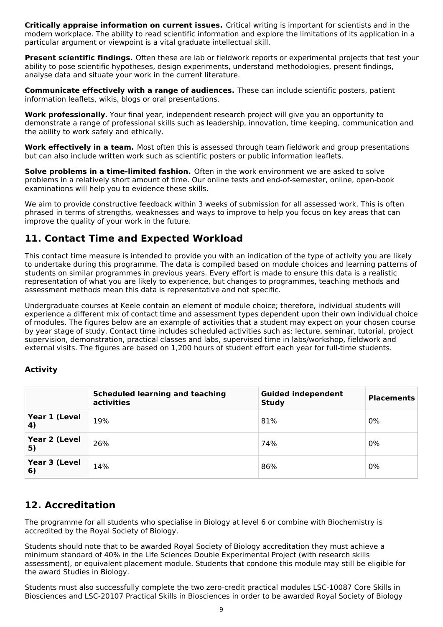**Critically appraise information on current issues.** Critical writing is important for scientists and in the modern workplace. The ability to read scientific information and explore the limitations of its application in a particular argument or viewpoint is a vital graduate intellectual skill.

**Present scientific findings.** Often these are lab or fieldwork reports or experimental projects that test your ability to pose scientific hypotheses, design experiments, understand methodologies, present findings, analyse data and situate your work in the current literature.

**Communicate effectively with a range of audiences.** These can include scientific posters, patient information leaflets, wikis, blogs or oral presentations.

**Work professionally**. Your final year, independent research project will give you an opportunity to demonstrate a range of professional skills such as leadership, innovation, time keeping, communication and the ability to work safely and ethically.

**Work effectively in a team.** Most often this is assessed through team fieldwork and group presentations but can also include written work such as scientific posters or public information leaflets.

**Solve problems in a time-limited fashion.** Often in the work environment we are asked to solve problems in a relatively short amount of time. Our online tests and end-of-semester, online, open-book examinations will help you to evidence these skills.

We aim to provide constructive feedback within 3 weeks of submission for all assessed work. This is often phrased in terms of strengths, weaknesses and ways to improve to help you focus on key areas that can improve the quality of your work in the future.

# **11. Contact Time and Expected Workload**

This contact time measure is intended to provide you with an indication of the type of activity you are likely to undertake during this programme. The data is compiled based on module choices and learning patterns of students on similar programmes in previous years. Every effort is made to ensure this data is a realistic representation of what you are likely to experience, but changes to programmes, teaching methods and assessment methods mean this data is representative and not specific.

Undergraduate courses at Keele contain an element of module choice; therefore, individual students will experience a different mix of contact time and assessment types dependent upon their own individual choice of modules. The figures below are an example of activities that a student may expect on your chosen course by year stage of study. Contact time includes scheduled activities such as: lecture, seminar, tutorial, project supervision, demonstration, practical classes and labs, supervised time in labs/workshop, fieldwork and external visits. The figures are based on 1,200 hours of student effort each year for full-time students.

### **Activity**

|                     | <b>Scheduled learning and teaching</b><br>activities | <b>Guided independent</b><br><b>Study</b> | <b>Placements</b> |
|---------------------|------------------------------------------------------|-------------------------------------------|-------------------|
| Year 1 (Level<br>4) | 19%                                                  | 81%                                       | 0%                |
| Year 2 (Level<br>5) | 26%                                                  | 74%                                       | 0%                |
| Year 3 (Level<br>6) | 14%                                                  | 86%                                       | 0%                |

## **12. Accreditation**

The programme for all students who specialise in Biology at level 6 or combine with Biochemistry is accredited by the Royal Society of Biology.

Students should note that to be awarded Royal Society of Biology accreditation they must achieve a minimum standard of 40% in the Life Sciences Double Experimental Project (with research skills assessment), or equivalent placement module. Students that condone this module may still be eligible for the award Studies in Biology.

Students must also successfully complete the two zero-credit practical modules LSC-10087 Core Skills in Biosciences and LSC-20107 Practical Skills in Biosciences in order to be awarded Royal Society of Biology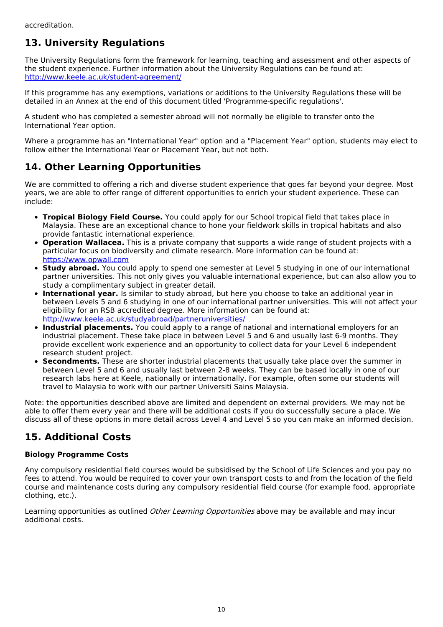# **13. University Regulations**

The University Regulations form the framework for learning, teaching and assessment and other aspects of the student experience. Further information about the University Regulations can be found at: <http://www.keele.ac.uk/student-agreement/>

If this programme has any exemptions, variations or additions to the University Regulations these will be detailed in an Annex at the end of this document titled 'Programme-specific regulations'.

A student who has completed a semester abroad will not normally be eligible to transfer onto the International Year option.

Where a programme has an "International Year" option and a "Placement Year" option, students may elect to follow either the International Year or Placement Year, but not both.

# **14. Other Learning Opportunities**

We are committed to offering a rich and diverse student experience that goes far beyond your degree. Most years, we are able to offer range of different opportunities to enrich your student experience. These can include:

- **Tropical Biology Field Course.** You could apply for our School tropical field that takes place in Malaysia. These are an exceptional chance to hone your fieldwork skills in tropical habitats and also provide fantastic international experience.
- **Operation Wallacea.** This is a private company that supports a wide range of student projects with a particular focus on biodiversity and climate research. More information can be found at: <https://www.opwall.com>
- **Study abroad.** You could apply to spend one semester at Level 5 studying in one of our international partner universities. This not only gives you valuable international experience, but can also allow you to study a complimentary subject in greater detail.
- **International year.** Is similar to study abroad, but here you choose to take an additional year in between Levels 5 and 6 studying in one of our international partner universities. This will not affect your eligibility for an RSB accredited degree. More information can be found at: [http://www.keele.ac.uk/studyabroad/partneruniversities/](http://www.keele.ac.uk/studyabroad/partneruniversities/%20)
- **Industrial placements.** You could apply to a range of national and international employers for an  $\bullet$ industrial placement. These take place in between Level 5 and 6 and usually last 6-9 months. They provide excellent work experience and an opportunity to collect data for your Level 6 independent research student project.
- **Secondments.** These are shorter industrial placements that usually take place over the summer in between Level 5 and 6 and usually last between 2-8 weeks. They can be based locally in one of our research labs here at Keele, nationally or internationally. For example, often some our students will travel to Malaysia to work with our partner Universiti Sains Malaysia.

Note: the opportunities described above are limited and dependent on external providers. We may not be able to offer them every year and there will be additional costs if you do successfully secure a place. We discuss all of these options in more detail across Level 4 and Level 5 so you can make an informed decision.

# **15. Additional Costs**

#### **Biology Programme Costs**

Any compulsory residential field courses would be subsidised by the School of Life Sciences and you pay no fees to attend. You would be required to cover your own transport costs to and from the location of the field course and maintenance costs during any compulsory residential field course (for example food, appropriate clothing, etc.).

Learning opportunities as outlined *Other Learning Opportunities* above may be available and may incur additional costs.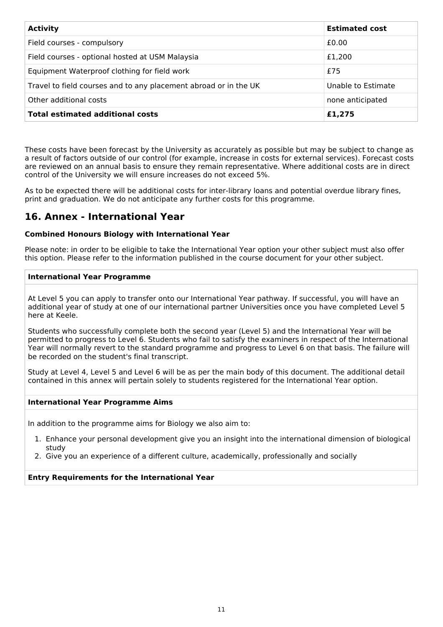| <b>Activity</b>                                                  | <b>Estimated cost</b> |
|------------------------------------------------------------------|-----------------------|
| Field courses - compulsory                                       | £0.00                 |
| Field courses - optional hosted at USM Malaysia                  | £1,200                |
| Equipment Waterproof clothing for field work                     | £75                   |
| Travel to field courses and to any placement abroad or in the UK | Unable to Estimate    |
| Other additional costs                                           | none anticipated      |
| <b>Total estimated additional costs</b>                          | £1,275                |

These costs have been forecast by the University as accurately as possible but may be subject to change as a result of factors outside of our control (for example, increase in costs for external services). Forecast costs are reviewed on an annual basis to ensure they remain representative. Where additional costs are in direct control of the University we will ensure increases do not exceed 5%.

As to be expected there will be additional costs for inter-library loans and potential overdue library fines, print and graduation. We do not anticipate any further costs for this programme.

## **16. Annex - International Year**

#### **Combined Honours Biology with International Year**

Please note: in order to be eligible to take the International Year option your other subject must also offer this option. Please refer to the information published in the course document for your other subject.

#### **International Year Programme**

At Level 5 you can apply to transfer onto our International Year pathway. If successful, you will have an additional year of study at one of our international partner Universities once you have completed Level 5 here at Keele.

Students who successfully complete both the second year (Level 5) and the International Year will be permitted to progress to Level 6. Students who fail to satisfy the examiners in respect of the International Year will normally revert to the standard programme and progress to Level 6 on that basis. The failure will be recorded on the student's final transcript.

Study at Level 4, Level 5 and Level 6 will be as per the main body of this document. The additional detail contained in this annex will pertain solely to students registered for the International Year option.

#### **International Year Programme Aims**

In addition to the programme aims for Biology we also aim to:

- 1. Enhance your personal development give you an insight into the international dimension of biological study
- 2. Give you an experience of a different culture, academically, professionally and socially

#### **Entry Requirements for the International Year**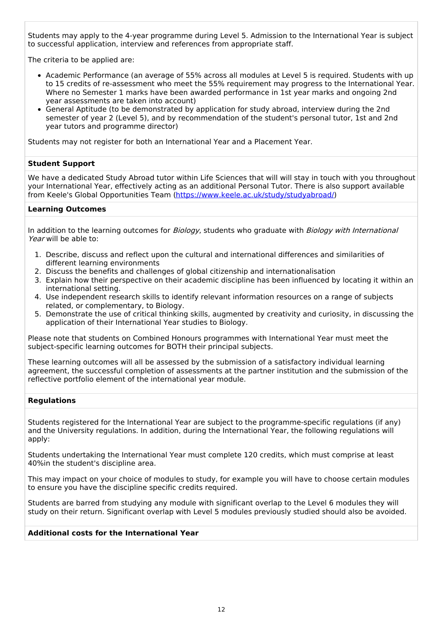Students may apply to the 4-year programme during Level 5. Admission to the International Year is subject to successful application, interview and references from appropriate staff.

The criteria to be applied are:

- Academic Performance (an average of 55% across all modules at Level 5 is required. Students with up to 15 credits of re-assessment who meet the 55% requirement may progress to the International Year. Where no Semester 1 marks have been awarded performance in 1st year marks and ongoing 2nd year assessments are taken into account)
- General Aptitude (to be demonstrated by application for study abroad, interview during the 2nd semester of year 2 (Level 5), and by recommendation of the student's personal tutor, 1st and 2nd year tutors and programme director)

Students may not register for both an International Year and a Placement Year.

#### **Student Support**

We have a dedicated Study Abroad tutor within Life Sciences that will will stay in touch with you throughout your International Year, effectively acting as an additional Personal Tutor. There is also support available from Keele's Global Opportunities Team [\(https://www.keele.ac.uk/study/studyabroad/](https://www.keele.ac.uk/study/studyabroad/))

#### **Learning Outcomes**

In addition to the learning outcomes for Biology, students who graduate with Biology with International Year will be able to:

- 1. Describe, discuss and reflect upon the cultural and international differences and similarities of different learning environments
- 2. Discuss the benefits and challenges of global citizenship and internationalisation
- 3. Explain how their perspective on their academic discipline has been influenced by locating it within an international setting.
- 4. Use independent research skills to identify relevant information resources on a range of subjects related, or complementary, to Biology.
- 5. Demonstrate the use of critical thinking skills, augmented by creativity and curiosity, in discussing the application of their International Year studies to Biology.

Please note that students on Combined Honours programmes with International Year must meet the subject-specific learning outcomes for BOTH their principal subjects.

These learning outcomes will all be assessed by the submission of a satisfactory individual learning agreement, the successful completion of assessments at the partner institution and the submission of the reflective portfolio element of the international year module.

#### **Regulations**

Students registered for the International Year are subject to the programme-specific regulations (if any) and the University regulations. In addition, during the International Year, the following regulations will apply:

Students undertaking the International Year must complete 120 credits, which must comprise at least 40%in the student's discipline area.

This may impact on your choice of modules to study, for example you will have to choose certain modules to ensure you have the discipline specific credits required.

Students are barred from studying any module with significant overlap to the Level 6 modules they will study on their return. Significant overlap with Level 5 modules previously studied should also be avoided.

#### **Additional costs for the International Year**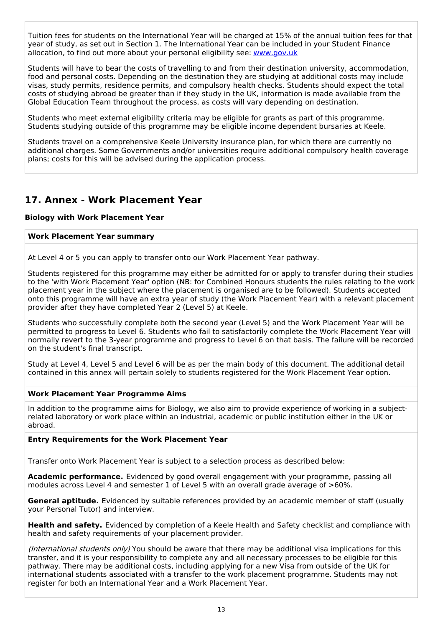Tuition fees for students on the International Year will be charged at 15% of the annual tuition fees for that year of study, as set out in Section 1. The International Year can be included in your Student Finance allocation, to find out more about your personal eligibility see: [www.gov.uk](http://www.gov.uk/)

Students will have to bear the costs of travelling to and from their destination university, accommodation, food and personal costs. Depending on the destination they are studying at additional costs may include visas, study permits, residence permits, and compulsory health checks. Students should expect the total costs of studying abroad be greater than if they study in the UK, information is made available from the Global Education Team throughout the process, as costs will vary depending on destination.

Students who meet external eligibility criteria may be eligible for grants as part of this programme. Students studying outside of this programme may be eligible income dependent bursaries at Keele.

Students travel on a comprehensive Keele University insurance plan, for which there are currently no additional charges. Some Governments and/or universities require additional compulsory health coverage plans; costs for this will be advised during the application process.

## **17. Annex - Work Placement Year**

#### **Biology with Work Placement Year**

#### **Work Placement Year summary**

At Level 4 or 5 you can apply to transfer onto our Work Placement Year pathway.

Students registered for this programme may either be admitted for or apply to transfer during their studies to the 'with Work Placement Year' option (NB: for Combined Honours students the rules relating to the work placement year in the subject where the placement is organised are to be followed). Students accepted onto this programme will have an extra year of study (the Work Placement Year) with a relevant placement provider after they have completed Year 2 (Level 5) at Keele.

Students who successfully complete both the second year (Level 5) and the Work Placement Year will be permitted to progress to Level 6. Students who fail to satisfactorily complete the Work Placement Year will normally revert to the 3-year programme and progress to Level 6 on that basis. The failure will be recorded on the student's final transcript.

Study at Level 4, Level 5 and Level 6 will be as per the main body of this document. The additional detail contained in this annex will pertain solely to students registered for the Work Placement Year option.

#### **Work Placement Year Programme Aims**

In addition to the programme aims for Biology, we also aim to provide experience of working in a subjectrelated laboratory or work place within an industrial, academic or public institution either in the UK or abroad.

#### **Entry Requirements for the Work Placement Year**

Transfer onto Work Placement Year is subject to a selection process as described below:

**Academic performance.** Evidenced by good overall engagement with your programme, passing all modules across Level 4 and semester 1 of Level 5 with an overall grade average of >60%.

**General aptitude.** Evidenced by suitable references provided by an academic member of staff (usually your Personal Tutor) and interview.

**Health and safety.** Evidenced by completion of a Keele Health and Safety checklist and compliance with health and safety requirements of your placement provider.

(International students only) You should be aware that there may be additional visa implications for this transfer, and it is your responsibility to complete any and all necessary processes to be eligible for this pathway. There may be additional costs, including applying for a new Visa from outside of the UK for international students associated with a transfer to the work placement programme. Students may not register for both an International Year and a Work Placement Year.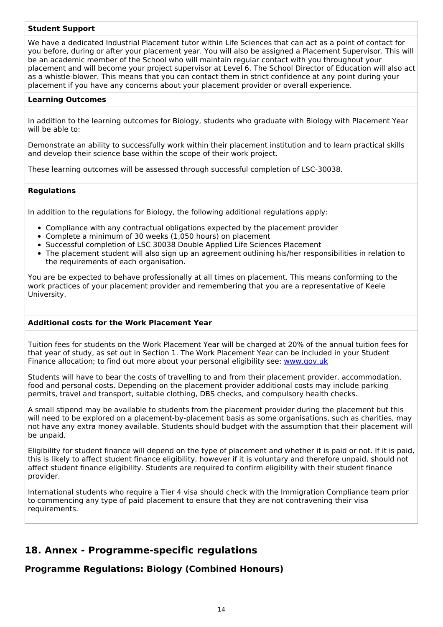#### **Student Support**

We have a dedicated Industrial Placement tutor within Life Sciences that can act as a point of contact for you before, during or after your placement year. You will also be assigned a Placement Supervisor. This will be an academic member of the School who will maintain regular contact with you throughout your placement and will become your project supervisor at Level 6. The School Director of Education will also act as a whistle-blower. This means that you can contact them in strict confidence at any point during your placement if you have any concerns about your placement provider or overall experience.

#### **Learning Outcomes**

In addition to the learning outcomes for Biology, students who graduate with Biology with Placement Year will be able to:

Demonstrate an ability to successfully work within their placement institution and to learn practical skills and develop their science base within the scope of their work project.

These learning outcomes will be assessed through successful completion of LSC-30038.

#### **Regulations**

In addition to the regulations for Biology, the following additional regulations apply:

- Compliance with any contractual obligations expected by the placement provider
- Complete a minimum of 30 weeks (1,050 hours) on placement
- Successful completion of LSC 30038 Double Applied Life Sciences Placement
- The placement student will also sign up an agreement outlining his/her responsibilities in relation to the requirements of each organisation.

You are be expected to behave professionally at all times on placement. This means conforming to the work practices of your placement provider and remembering that you are a representative of Keele University.

#### **Additional costs for the Work Placement Year**

Tuition fees for students on the Work Placement Year will be charged at 20% of the annual tuition fees for that year of study, as set out in Section 1. The Work Placement Year can be included in your Student Finance allocation; to find out more about your personal eligibility see: [www.gov.uk](http://www.gov.uk/)

Students will have to bear the costs of travelling to and from their placement provider, accommodation, food and personal costs. Depending on the placement provider additional costs may include parking permits, travel and transport, suitable clothing, DBS checks, and compulsory health checks.

A small stipend may be available to students from the placement provider during the placement but this will need to be explored on a placement-by-placement basis as some organisations, such as charities, may not have any extra money available. Students should budget with the assumption that their placement will be unpaid.

Eligibility for student finance will depend on the type of placement and whether it is paid or not. If it is paid, this is likely to affect student finance eligibility, however if it is voluntary and therefore unpaid, should not affect student finance eligibility. Students are required to confirm eligibility with their student finance provider.

International students who require a Tier 4 visa should check with the Immigration Compliance team prior to commencing any type of paid placement to ensure that they are not contravening their visa requirements.

### **18. Annex - Programme-specific regulations**

**Programme Regulations: Biology (Combined Honours)**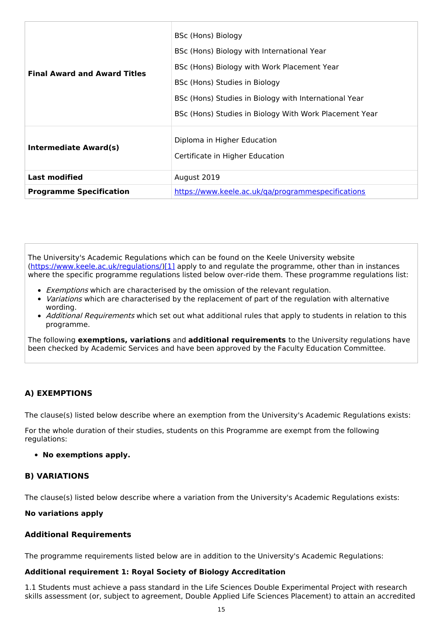| <b>Final Award and Award Titles</b> | BSc (Hons) Biology<br>BSc (Hons) Biology with International Year<br>BSc (Hons) Biology with Work Placement Year<br>BSc (Hons) Studies in Biology<br>BSc (Hons) Studies in Biology with International Year<br>BSc (Hons) Studies in Biology With Work Placement Year |
|-------------------------------------|---------------------------------------------------------------------------------------------------------------------------------------------------------------------------------------------------------------------------------------------------------------------|
| <b>Intermediate Award(s)</b>        | Diploma in Higher Education<br>Certificate in Higher Education                                                                                                                                                                                                      |
| <b>Last modified</b>                | August 2019                                                                                                                                                                                                                                                         |
| <b>Programme Specification</b>      | https://www.keele.ac.uk/ga/programmespecifications                                                                                                                                                                                                                  |

The University's Academic Regulations which can be found on the Keele University website [\(https://www.keele.ac.uk/regulations/](https://www.keele.ac.uk/regulations/)[\)\[1\]](https://scims-api.keele.ac.uk/#_ftn1) apply to and regulate the programme, other than in instances where the specific programme regulations listed below over-ride them. These programme regulations list:

- Exemptions which are characterised by the omission of the relevant regulation.
- *Variations* which are characterised by the replacement of part of the regulation with alternative wording.
- Additional Requirements which set out what additional rules that apply to students in relation to this programme.

The following **exemptions, variations** and **additional requirements** to the University regulations have been checked by Academic Services and have been approved by the Faculty Education Committee.

#### **A) EXEMPTIONS**

The clause(s) listed below describe where an exemption from the University's Academic Regulations exists:

For the whole duration of their studies, students on this Programme are exempt from the following regulations:

#### **No exemptions apply.**

#### **B) VARIATIONS**

The clause(s) listed below describe where a variation from the University's Academic Regulations exists:

#### **No variations apply**

#### **Additional Requirements**

The programme requirements listed below are in addition to the University's Academic Regulations:

#### **Additional requirement 1: Royal Society of Biology Accreditation**

1.1 Students must achieve a pass standard in the Life Sciences Double Experimental Project with research skills assessment (or, subject to agreement, Double Applied Life Sciences Placement) to attain an accredited